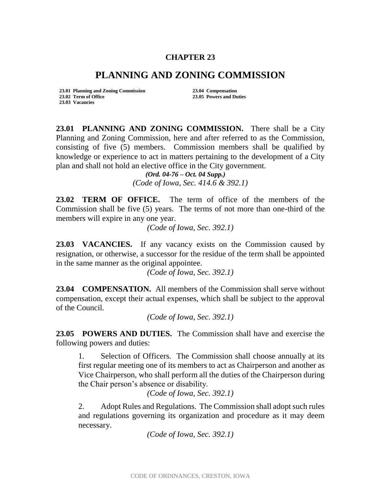## **CHAPTER 23**

## **PLANNING AND ZONING COMMISSION**

**23.01 Planning and Zoning Commission 23.04 Compensation 23.02 Term of Office 23.05 Powers and Duties 23.03 Vacancies**

**23.01 PLANNING AND ZONING COMMISSION.** There shall be a City Planning and Zoning Commission, here and after referred to as the Commission, consisting of five (5) members. Commission members shall be qualified by knowledge or experience to act in matters pertaining to the development of a City plan and shall not hold an elective office in the City government.

*(Ord. 04-76 – Oct. 04 Supp.) (Code of Iowa, Sec. 414.6 & 392.1)*

**23.02 TERM OF OFFICE.** The term of office of the members of the Commission shall be five (5) years. The terms of not more than one-third of the members will expire in any one year.

*(Code of Iowa, Sec. 392.1)*

**23.03 VACANCIES.** If any vacancy exists on the Commission caused by resignation, or otherwise, a successor for the residue of the term shall be appointed in the same manner as the original appointee.

*(Code of Iowa, Sec. 392.1)*

**23.04 COMPENSATION.** All members of the Commission shall serve without compensation, except their actual expenses, which shall be subject to the approval of the Council.

*(Code of Iowa, Sec. 392.1)*

**23.05 POWERS AND DUTIES.** The Commission shall have and exercise the following powers and duties:

1. Selection of Officers. The Commission shall choose annually at its first regular meeting one of its members to act as Chairperson and another as Vice Chairperson, who shall perform all the duties of the Chairperson during the Chair person's absence or disability.

*(Code of Iowa, Sec. 392.1)*

2. Adopt Rules and Regulations. The Commission shall adopt such rules and regulations governing its organization and procedure as it may deem necessary.

*(Code of Iowa, Sec. 392.1)*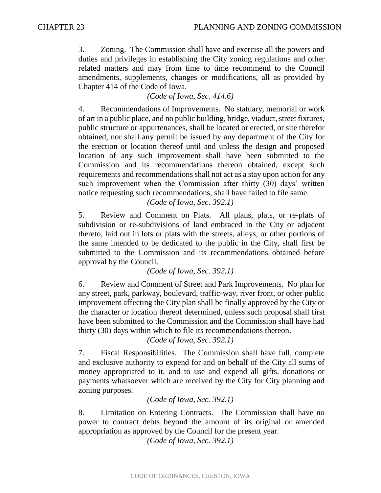3. Zoning. The Commission shall have and exercise all the powers and duties and privileges in establishing the City zoning regulations and other related matters and may from time to time recommend to the Council amendments, supplements, changes or modifications, all as provided by Chapter 414 of the Code of Iowa.

*(Code of Iowa, Sec. 414.6)*

4. Recommendations of Improvements. No statuary, memorial or work of art in a public place, and no public building, bridge, viaduct, street fixtures, public structure or appurtenances, shall be located or erected, or site therefor obtained, nor shall any permit be issued by any department of the City for the erection or location thereof until and unless the design and proposed location of any such improvement shall have been submitted to the Commission and its recommendations thereon obtained, except such requirements and recommendations shall not act as a stay upon action for any such improvement when the Commission after thirty (30) days' written notice requesting such recommendations, shall have failed to file same.

*(Code of Iowa, Sec. 392.1)*

5. Review and Comment on Plats. All plans, plats, or re-plats of subdivision or re-subdivisions of land embraced in the City or adjacent thereto, laid out in lots or plats with the streets, alleys, or other portions of the same intended to be dedicated to the public in the City, shall first be submitted to the Commission and its recommendations obtained before approval by the Council.

*(Code of Iowa, Sec. 392.1)*

6. Review and Comment of Street and Park Improvements. No plan for any street, park, parkway, boulevard, traffic-way, river front, or other public improvement affecting the City plan shall be finally approved by the City or the character or location thereof determined, unless such proposal shall first have been submitted to the Commission and the Commission shall have had thirty (30) days within which to file its recommendations thereon.

*(Code of Iowa, Sec. 392.1)*

7. Fiscal Responsibilities. The Commission shall have full, complete and exclusive authority to expend for and on behalf of the City all sums of money appropriated to it, and to use and expend all gifts, donations or payments whatsoever which are received by the City for City planning and zoning purposes.

*(Code of Iowa, Sec. 392.1)*

8. Limitation on Entering Contracts. The Commission shall have no power to contract debts beyond the amount of its original or amended appropriation as approved by the Council for the present year.

*(Code of Iowa, Sec. 392.1)*